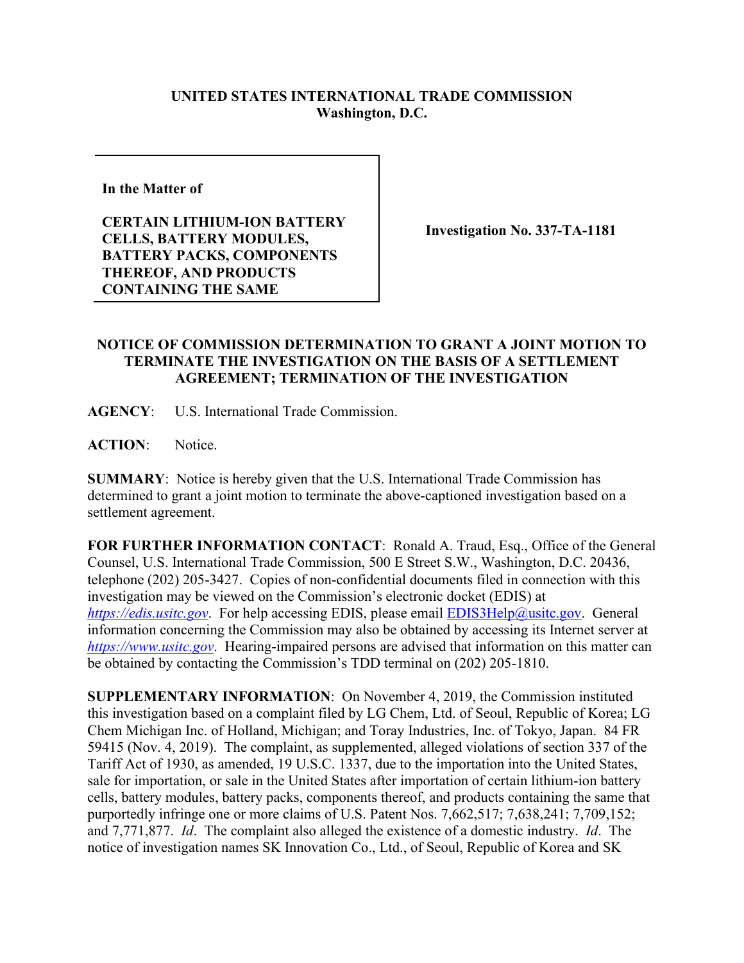## **UNITED STATES INTERNATIONAL TRADE COMMISSION Washington, D.C.**

**In the Matter of** 

**CERTAIN LITHIUM-ION BATTERY CELLS, BATTERY MODULES, BATTERY PACKS, COMPONENTS THEREOF, AND PRODUCTS CONTAINING THE SAME**

**Investigation No. 337-TA-1181**

## **NOTICE OF COMMISSION DETERMINATION TO GRANT A JOINT MOTION TO TERMINATE THE INVESTIGATION ON THE BASIS OF A SETTLEMENT AGREEMENT; TERMINATION OF THE INVESTIGATION**

**AGENCY**: U.S. International Trade Commission.

**ACTION**: Notice.

**SUMMARY**: Notice is hereby given that the U.S. International Trade Commission has determined to grant a joint motion to terminate the above-captioned investigation based on a settlement agreement.

**FOR FURTHER INFORMATION CONTACT**: Ronald A. Traud, Esq., Office of the General Counsel, U.S. International Trade Commission, 500 E Street S.W., Washington, D.C. 20436, telephone (202) 205-3427. Copies of non-confidential documents filed in connection with this investigation may be viewed on the Commission's electronic docket (EDIS) at *[https://edis.usitc.gov](https://edis.usitc.gov/).* For help accessing EDIS, please email [EDIS3Help@usitc.gov.](mailto:EDIS3Help@usitc.gov) General information concerning the Commission may also be obtained by accessing its Internet server at *[https://www.usitc.gov](https://www.usitc.gov/)*. Hearing-impaired persons are advised that information on this matter can be obtained by contacting the Commission's TDD terminal on (202) 205-1810.

**SUPPLEMENTARY INFORMATION**: On November 4, 2019, the Commission instituted this investigation based on a complaint filed by LG Chem, Ltd. of Seoul, Republic of Korea; LG Chem Michigan Inc. of Holland, Michigan; and Toray Industries, Inc. of Tokyo, Japan. 84 FR 59415 (Nov. 4, 2019). The complaint, as supplemented, alleged violations of section 337 of the Tariff Act of 1930, as amended, 19 U.S.C. 1337, due to the importation into the United States, sale for importation, or sale in the United States after importation of certain lithium-ion battery cells, battery modules, battery packs, components thereof, and products containing the same that purportedly infringe one or more claims of U.S. Patent Nos. 7,662,517; 7,638,241; 7,709,152; and 7,771,877. *Id*. The complaint also alleged the existence of a domestic industry. *Id*. The notice of investigation names SK Innovation Co., Ltd., of Seoul, Republic of Korea and SK